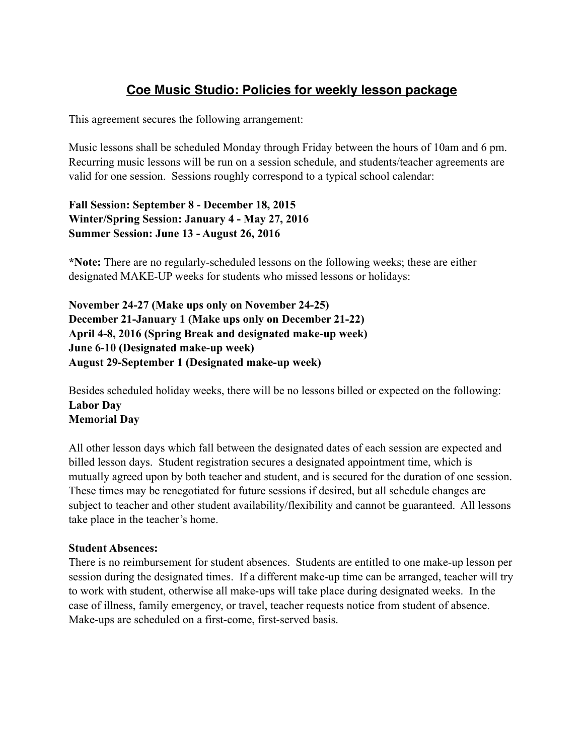# **Coe Music Studio: Policies for weekly lesson package**

This agreement secures the following arrangement:

Music lessons shall be scheduled Monday through Friday between the hours of 10am and 6 pm. Recurring music lessons will be run on a session schedule, and students/teacher agreements are valid for one session. Sessions roughly correspond to a typical school calendar:

**Fall Session: September 8 - December 18, 2015 Winter/Spring Session: January 4 - May 27, 2016 Summer Session: June 13 - August 26, 2016**

**\*Note:** There are no regularly-scheduled lessons on the following weeks; these are either designated MAKE-UP weeks for students who missed lessons or holidays:

**November 24-27 (Make ups only on November 24-25) December 21-January 1 (Make ups only on December 21-22) April 4-8, 2016 (Spring Break and designated make-up week) June 6-10 (Designated make-up week) August 29-September 1 (Designated make-up week)**

Besides scheduled holiday weeks, there will be no lessons billed or expected on the following: **Labor Day Memorial Day** 

All other lesson days which fall between the designated dates of each session are expected and billed lesson days. Student registration secures a designated appointment time, which is mutually agreed upon by both teacher and student, and is secured for the duration of one session. These times may be renegotiated for future sessions if desired, but all schedule changes are subject to teacher and other student availability/flexibility and cannot be guaranteed. All lessons take place in the teacher's home.

#### **Student Absences:**

There is no reimbursement for student absences. Students are entitled to one make-up lesson per session during the designated times. If a different make-up time can be arranged, teacher will try to work with student, otherwise all make-ups will take place during designated weeks. In the case of illness, family emergency, or travel, teacher requests notice from student of absence. Make-ups are scheduled on a first-come, first-served basis.